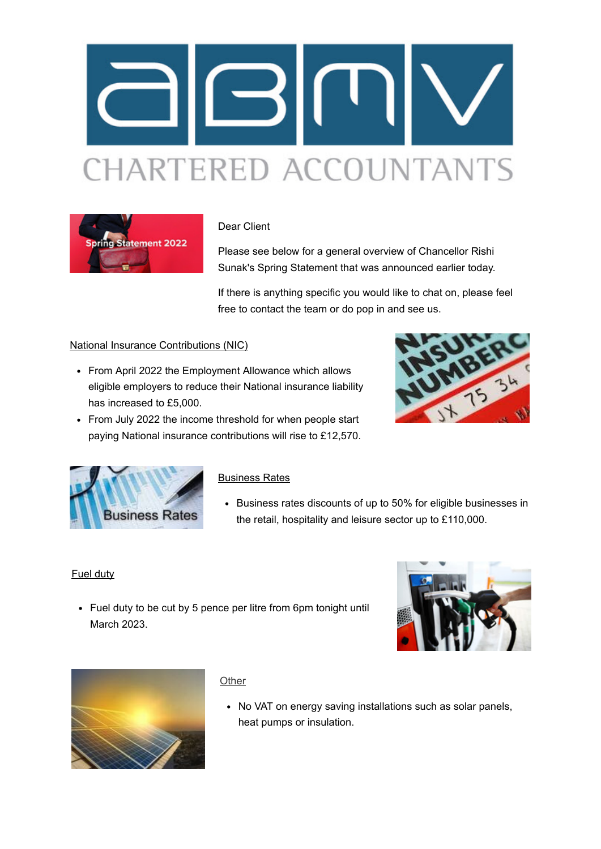



### Dear Client

Please see below for a general overview of Chancellor Rishi Sunak's Spring Statement that was announced earlier today.

If there is anything specific you would like to chat on, please feel free to contact the team or do pop in and see us.

## National Insurance Contributions (NIC)

- From April 2022 the Employment Allowance which allows eligible employers to reduce their National insurance liability has increased to £5,000.
- From July 2022 the income threshold for when people start paying National insurance contributions will rise to £12,570.





#### Business Rates

Business rates discounts of up to 50% for eligible businesses in the retail, hospitality and leisure sector up to £110,000.

#### Fuel duty

• Fuel duty to be cut by 5 pence per litre from 6pm tonight until March 2023.





#### **Other**

• No VAT on energy saving installations such as solar panels, heat pumps or insulation.